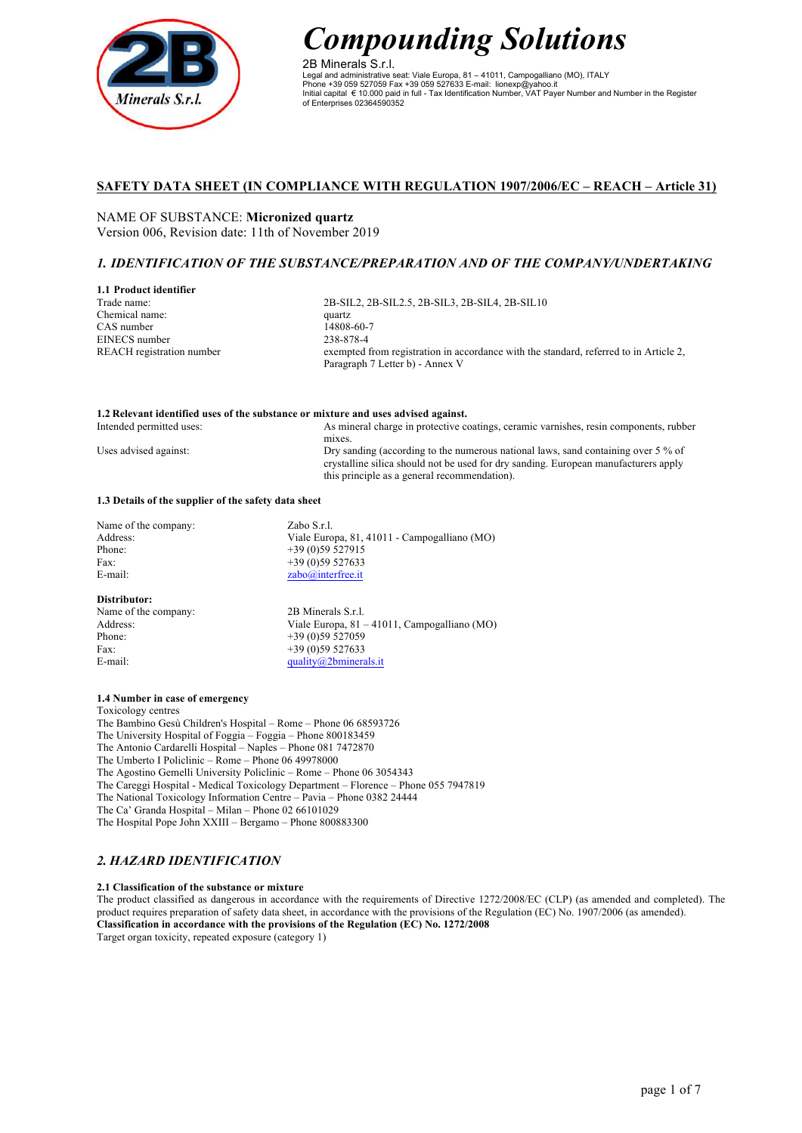

2B Minerals S.r.l. Legal and administrative seat: Viale Europa, 81 – 41011, Campogalliano (MO), ITALY Phone +39 059 527059 Fax +39 059 527633 E-mail: lionexp@yahoo.it Initial capital € 10.000 paid in full - Tax Identification Number, VAT Payer Number and Number in the Register of Enterprises 02364590352

## **SAFETY DATA SHEET (IN COMPLIANCE WITH REGULATION 1907/2006/EC – REACH – Article 31)**

NAME OF SUBSTANCE: **Micronized quartz** Version 006, Revision date: 11th of November 2019

## *1. IDENTIFICATION OF THE SUBSTANCE/PREPARATION AND OF THE COMPANY/UNDERTAKING*

## **1.1 Product identifier** Trade name: Chemical name: CAS number EINECS number REACH registration number

2B-SIL2, 2B-SIL2.5, 2B-SIL3, 2B-SIL4, 2B-SIL10 quartz 14808-60-7 238-878-4 exempted from registration in accordance with the standard, referred to in Article 2, Paragraph 7 Letter b) - Annex V

#### **1.2 Relevant identified uses of the substance or mixture and uses advised against.** Intended permitted uses:

As mineral charge in protective coatings, ceramic varnishes, resin components, rubber mixes. Dry sanding (according to the numerous national laws, sand containing over 5 % of crystalline silica should not be used for dry sanding. European manufacturers apply this principle as a general recommendation).

#### **1.3 Details of the supplier of the safety data sheet**

| Name of the company: | Zabo S.r.l.                                  |
|----------------------|----------------------------------------------|
| Address:             | Viale Europa, 81, 41011 - Campogalliano (MO) |
| Phone:               | $+39(0)59527915$                             |
| Fax:                 | $+39(0)59527633$                             |
| E-mail:              | zabo@interfree.it                            |
| Distributor:         |                                              |

# Name of the company: 2B Minerals S.r.l.<br>Address: Viale Europa 81 -Phone: +39 (0)59 527059 Fax:  $+39(0)59527633$ <br>E-mail:  $\frac{139(0)}{20}$

Uses advised against:

Viale Europa,  $81 - 41011$ , Campogalliano (MO) quality $@2$ bminerals.it

## **1.4 Number in case of emergency**

Toxicology centres

The Bambino Gesù Children's Hospital – Rome – Phone 06 68593726 The University Hospital of Foggia – Foggia – Phone 800183459 The Antonio Cardarelli Hospital – Naples – Phone 081 7472870 The Umberto I Policlinic – Rome – Phone 06 49978000 The Agostino Gemelli University Policlinic – Rome – Phone 06 3054343 The Careggi Hospital - Medical Toxicology Department – Florence – Phone 055 7947819 The National Toxicology Information Centre – Pavia – Phone 0382 24444 The Ca' Granda Hospital – Milan – Phone 02 66101029 The Hospital Pope John XXIII – Bergamo – Phone 800883300

## *2. HAZARD IDENTIFICATION*

## **2.1 Classification of the substance or mixture**

The product classified as dangerous in accordance with the requirements of Directive 1272/2008/EC (CLP) (as amended and completed). The product requires preparation of safety data sheet, in accordance with the provisions of the Regulation (EC) No. 1907/2006 (as amended). **Classification in accordance with the provisions of the Regulation (EC) No. 1272/2008** Target organ toxicity, repeated exposure (category 1)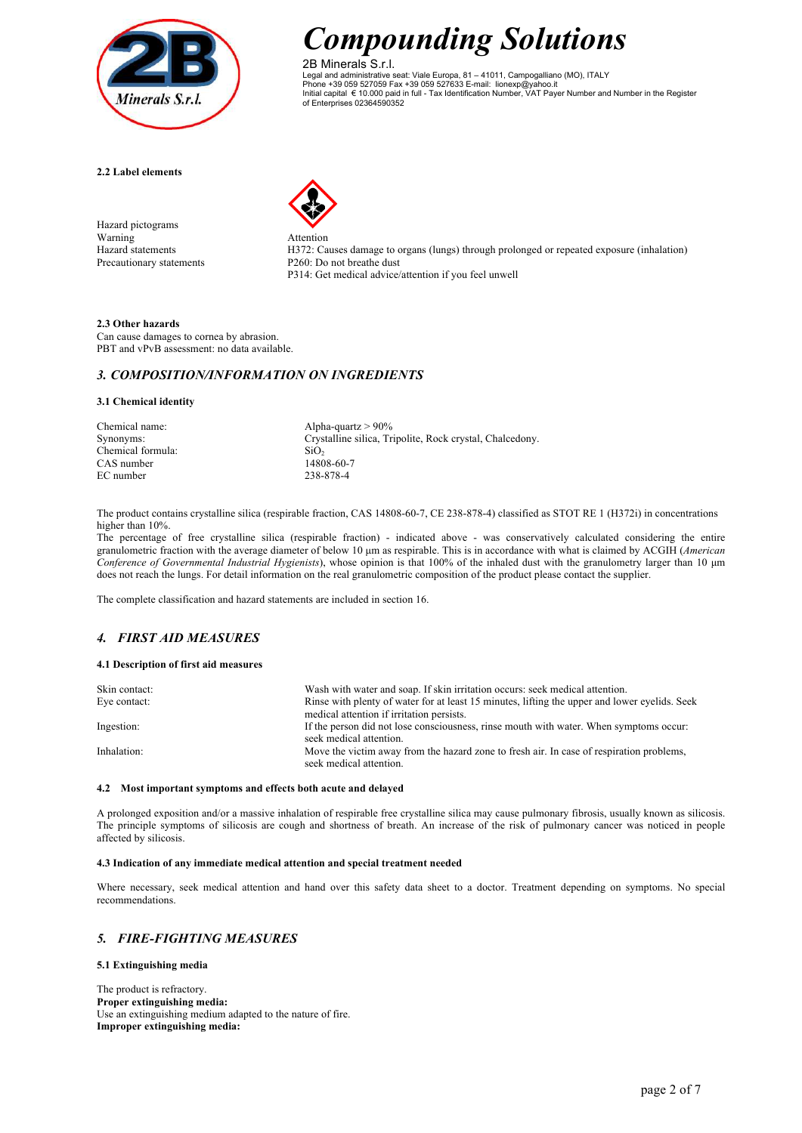

2B Minerals S.r.l. Legal and administrative seat: Viale Europa, 81 – 41011, Campogalliano (MO), ITALY Phone +39 059 527059 Fax +39 059 527633 E-mail: lionexp@yahoo.it Initial capital € 10.000 paid in full - Tax Identification Number, VAT Payer Number and Number in the Register of Enterprises 02364590352

**2.2 Label elements**

Hazard pictograms Warning Attention<br>Hazard statements H372: Ca



H372: Causes damage to organs (lungs) through prolonged or repeated exposure (inhalation) Precautionary statements P260: Do not breathe dust P314: Get medical advice/attention if you feel unwell

## **2.3 Other hazards**

Can cause damages to cornea by abrasion. PBT and vPvB assessment: no data available.

## *3. COMPOSITION/INFORMATION ON INGREDIENTS*

## **3.1 Chemical identity**

| Chemical name:    | Alpha-quartz $> 90\%$                                    |
|-------------------|----------------------------------------------------------|
| Synonyms:         | Crystalline silica, Tripolite, Rock crystal, Chalcedony. |
| Chemical formula: | SiO <sub>2</sub>                                         |
| CAS number        | 14808-60-7                                               |
| EC number         | 238-878-4                                                |
|                   |                                                          |

The product contains crystalline silica (respirable fraction, CAS 14808-60-7, CE 238-878-4) classified as STOT RE 1 (H372i) in concentrations higher than 10%.

The percentage of free crystalline silica (respirable fraction) - indicated above - was conservatively calculated considering the entire granulometric fraction with the average diameter of below 10 µm as respirable. This is in accordance with what is claimed by ACGIH (*American Conference of Governmental Industrial Hygienists*), whose opinion is that 100% of the inhaled dust with the granulometry larger than 10 µm does not reach the lungs. For detail information on the real granulometric composition of the product please contact the supplier.

The complete classification and hazard statements are included in section 16.

# *4. FIRST AID MEASURES*

## **4.1 Description of first aid measures**

| Skin contact: | Wash with water and soap. If skin irritation occurs: seek medical attention.                                        |
|---------------|---------------------------------------------------------------------------------------------------------------------|
| Eye contact:  | Rinse with plenty of water for at least 15 minutes, lifting the upper and lower eyelids. Seek                       |
|               | medical attention if irritation persists.                                                                           |
| Ingestion:    | If the person did not lose consciousness, rinse mouth with water. When symptoms occur:<br>seek medical attention.   |
| Inhalation:   | Move the victim away from the hazard zone to fresh air. In case of respiration problems,<br>seek medical attention. |

## **4.2 Most important symptoms and effects both acute and delayed**

A prolonged exposition and/or a massive inhalation of respirable free crystalline silica may cause pulmonary fibrosis, usually known as silicosis. The principle symptoms of silicosis are cough and shortness of breath. An increase of the risk of pulmonary cancer was noticed in people affected by silicosis.

## **4.3 Indication of any immediate medical attention and special treatment needed**

Where necessary, seek medical attention and hand over this safety data sheet to a doctor. Treatment depending on symptoms. No special recommendations.

## *5. FIRE-FIGHTING MEASURES*

**5.1 Extinguishing media**

The product is refractory. **Proper extinguishing media:** Use an extinguishing medium adapted to the nature of fire. **Improper extinguishing media:**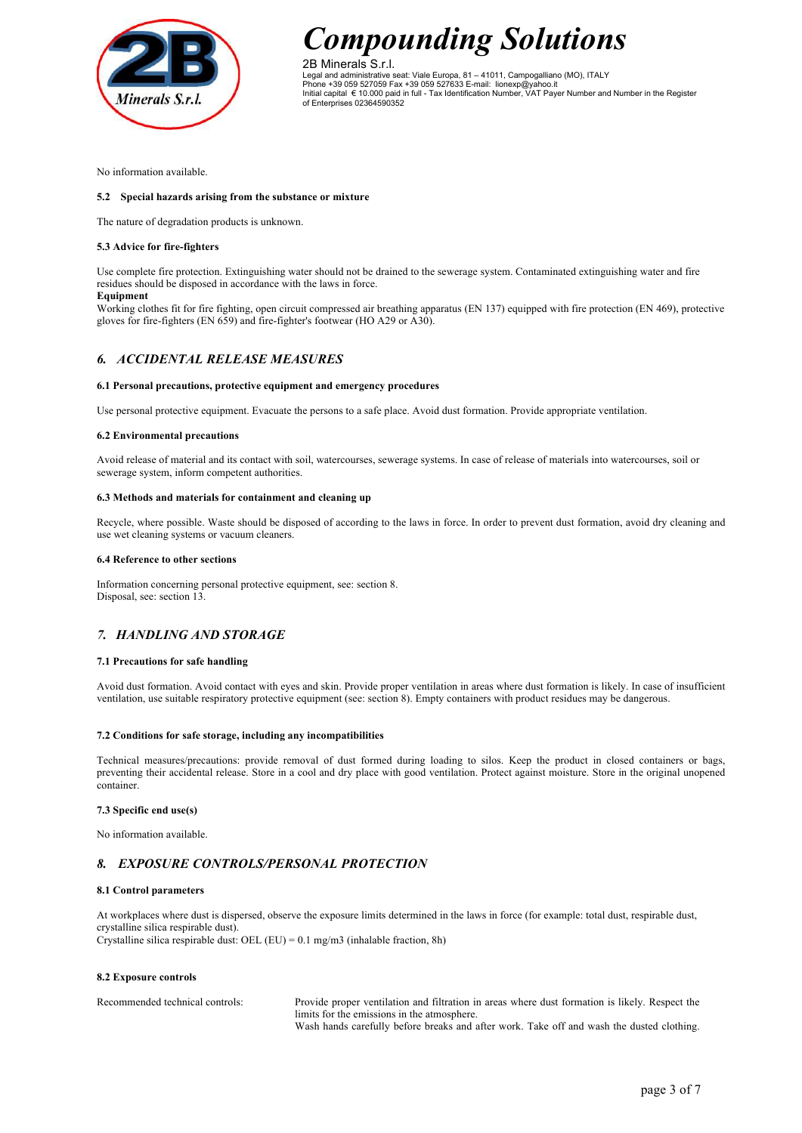

2B Minerals S.r.l. Legal and administrative seat: Viale Europa, 81 – 41011, Campogalliano (MO), ITALY Phone +39 059 527059 Fax +39 059 527633 E-mail: lionexp@yahoo.it Initial capital € 10.000 paid in full - Tax Identification Number, VAT Payer Number and Number in the Register of Enterprises 02364590352

No information available.

#### **5.2 Special hazards arising from the substance or mixture**

The nature of degradation products is unknown.

#### **5.3 Advice for fire-fighters**

Use complete fire protection. Extinguishing water should not be drained to the sewerage system. Contaminated extinguishing water and fire residues should be disposed in accordance with the laws in force. **Equipment**

Working clothes fit for fire fighting, open circuit compressed air breathing apparatus (EN 137) equipped with fire protection (EN 469), protective gloves for fire-fighters (EN 659) and fire-fighter's footwear (HO A29 or A30).

## *6. ACCIDENTAL RELEASE MEASURES*

#### **6.1 Personal precautions, protective equipment and emergency procedures**

Use personal protective equipment. Evacuate the persons to a safe place. Avoid dust formation. Provide appropriate ventilation.

#### **6.2 Environmental precautions**

Avoid release of material and its contact with soil, watercourses, sewerage systems. In case of release of materials into watercourses, soil or sewerage system, inform competent authorities.

#### **6.3 Methods and materials for containment and cleaning up**

Recycle, where possible. Waste should be disposed of according to the laws in force. In order to prevent dust formation, avoid dry cleaning and use wet cleaning systems or vacuum cleaners.

#### **6.4 Reference to other sections**

Information concerning personal protective equipment, see: section 8. Disposal, see: section 13.

## *7. HANDLING AND STORAGE*

#### **7.1 Precautions for safe handling**

Avoid dust formation. Avoid contact with eyes and skin. Provide proper ventilation in areas where dust formation is likely. In case of insufficient ventilation, use suitable respiratory protective equipment (see: section 8). Empty containers with product residues may be dangerous.

#### **7.2 Conditions for safe storage, including any incompatibilities**

Technical measures/precautions: provide removal of dust formed during loading to silos. Keep the product in closed containers or bags, preventing their accidental release. Store in a cool and dry place with good ventilation. Protect against moisture. Store in the original unopened container.

#### **7.3 Specific end use(s)**

No information available.

## *8. EXPOSURE CONTROLS/PERSONAL PROTECTION*

#### **8.1 Control parameters**

At workplaces where dust is dispersed, observe the exposure limits determined in the laws in force (for example: total dust, respirable dust, crystalline silica respirable dust). Crystalline silica respirable dust: OEL (EU) =  $0.1 \text{ mg/m}$ 3 (inhalable fraction, 8h)

#### **8.2 Exposure controls**

Recommended technical controls: Provide proper ventilation and filtration in areas where dust formation is likely. Respect the limits for the emissions in the atmosphere. Wash hands carefully before breaks and after work. Take off and wash the dusted clothing.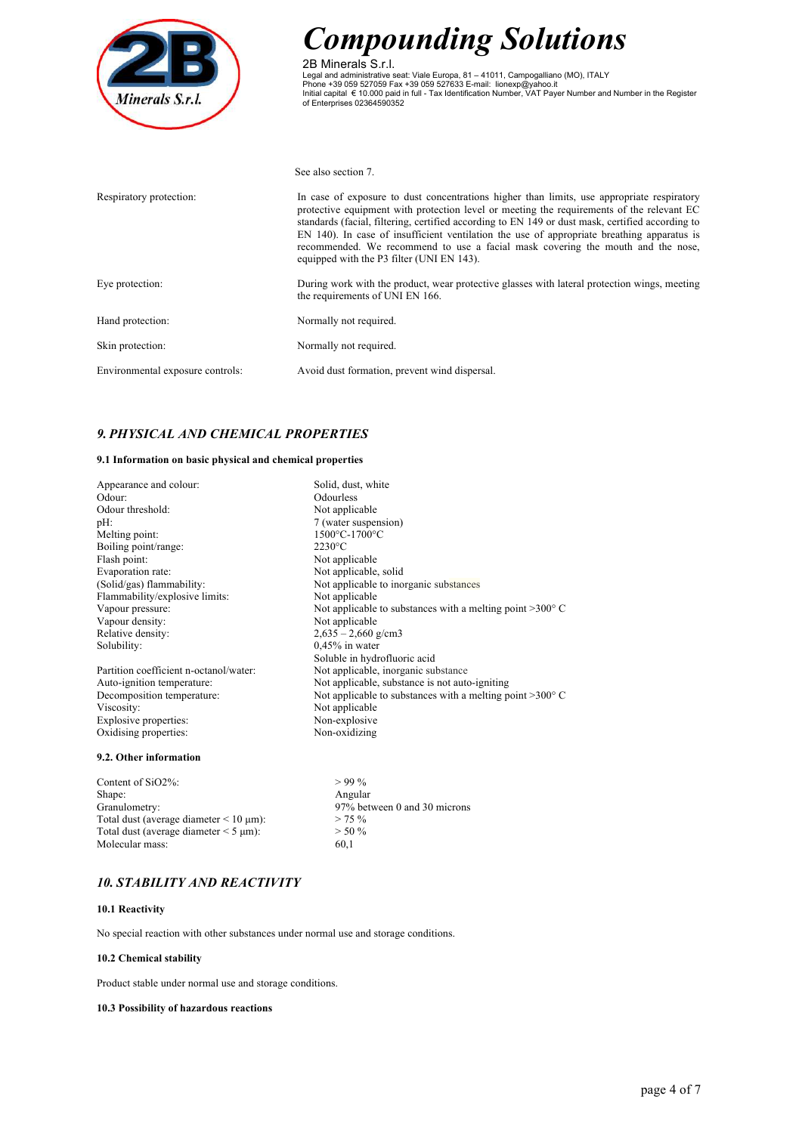

2B Minerals S.r.l. Legal and administrative seat: Viale Europa, 81 – 41011, Campogalliano (MO), ITALY<br>Phone +39 059 527059 Fax +39 059 527633 E-mail: lionexp@yahoo.it<br>Initial capital € 10.000 paid in full - Tax Identification Number, VAT

See also section 7.

| Respiratory protection:          | In case of exposure to dust concentrations higher than limits, use appropriate respiratory<br>protective equipment with protection level or meeting the requirements of the relevant EC<br>standards (facial, filtering, certified according to EN 149 or dust mask, certified according to<br>EN 140). In case of insufficient ventilation the use of appropriate breathing apparatus is<br>recommended. We recommend to use a facial mask covering the mouth and the nose,<br>equipped with the P3 filter (UNI EN 143). |
|----------------------------------|---------------------------------------------------------------------------------------------------------------------------------------------------------------------------------------------------------------------------------------------------------------------------------------------------------------------------------------------------------------------------------------------------------------------------------------------------------------------------------------------------------------------------|
| Eye protection:                  | During work with the product, wear protective glasses with lateral protection wings, meeting<br>the requirements of UNI EN 166.                                                                                                                                                                                                                                                                                                                                                                                           |
| Hand protection:                 | Normally not required.                                                                                                                                                                                                                                                                                                                                                                                                                                                                                                    |
| Skin protection:                 | Normally not required.                                                                                                                                                                                                                                                                                                                                                                                                                                                                                                    |
| Environmental exposure controls: | Avoid dust formation, prevent wind dispersal.                                                                                                                                                                                                                                                                                                                                                                                                                                                                             |

# *9. PHYSICAL AND CHEMICAL PROPERTIES*

## **9.1 Information on basic physical and chemical properties**

| Appearance and colour:                 | Solid, dust, white                                                 |
|----------------------------------------|--------------------------------------------------------------------|
| Odour:                                 | Odourless                                                          |
| Odour threshold:                       | Not applicable                                                     |
| $pH$ :                                 | 7 (water suspension)                                               |
| Melting point:                         | 1500°C-1700°C                                                      |
| Boiling point/range:                   | $2230^{\circ}$ C                                                   |
| Flash point:                           | Not applicable                                                     |
| Evaporation rate:                      | Not applicable, solid                                              |
| (Solid/gas) flammability:              | Not applicable to inorganic substances                             |
| Flammability/explosive limits:         | Not applicable                                                     |
| Vapour pressure:                       | Not applicable to substances with a melting point $>300^{\circ}$ C |
| Vapour density:                        | Not applicable                                                     |
| Relative density:                      | $2,635 - 2,660$ g/cm3                                              |
| Solubility:                            | $0.45\%$ in water                                                  |
|                                        | Soluble in hydrofluoric acid                                       |
| Partition coefficient n-octanol/water: | Not applicable, inorganic substance                                |
| Auto-ignition temperature:             | Not applicable, substance is not auto-igniting                     |
| Decomposition temperature:             | Not applicable to substances with a melting point $>300^{\circ}$ C |
| Viscosity:                             | Not applicable                                                     |
| Explosive properties:                  | Non-explosive                                                      |
| Oxidising properties:                  | Non-oxidizing                                                      |
| 9.2. Other information                 |                                                                    |

Content of SiO2%:  $> 99\%$ Shape: Angular<br>Granulometry: 97% bety Total dust (average diameter  $< 10 \text{ }\mu\text{m}$ ):  $> 75 \%$ <br>Total dust (average diameter  $< 5 \text{ }\mu\text{m}$ ):  $> 50 \%$ Total dust (average diameter  $\leq 5 \text{ }\mu\text{m}$ ): Molecular mass: 60,1

97% between 0 and 30 microns<br>> 75 %

## *10. STABILITY AND REACTIVITY*

## **10.1 Reactivity**

No special reaction with other substances under normal use and storage conditions.

## **10.2 Chemical stability**

Product stable under normal use and storage conditions.

#### **10.3 Possibility of hazardous reactions**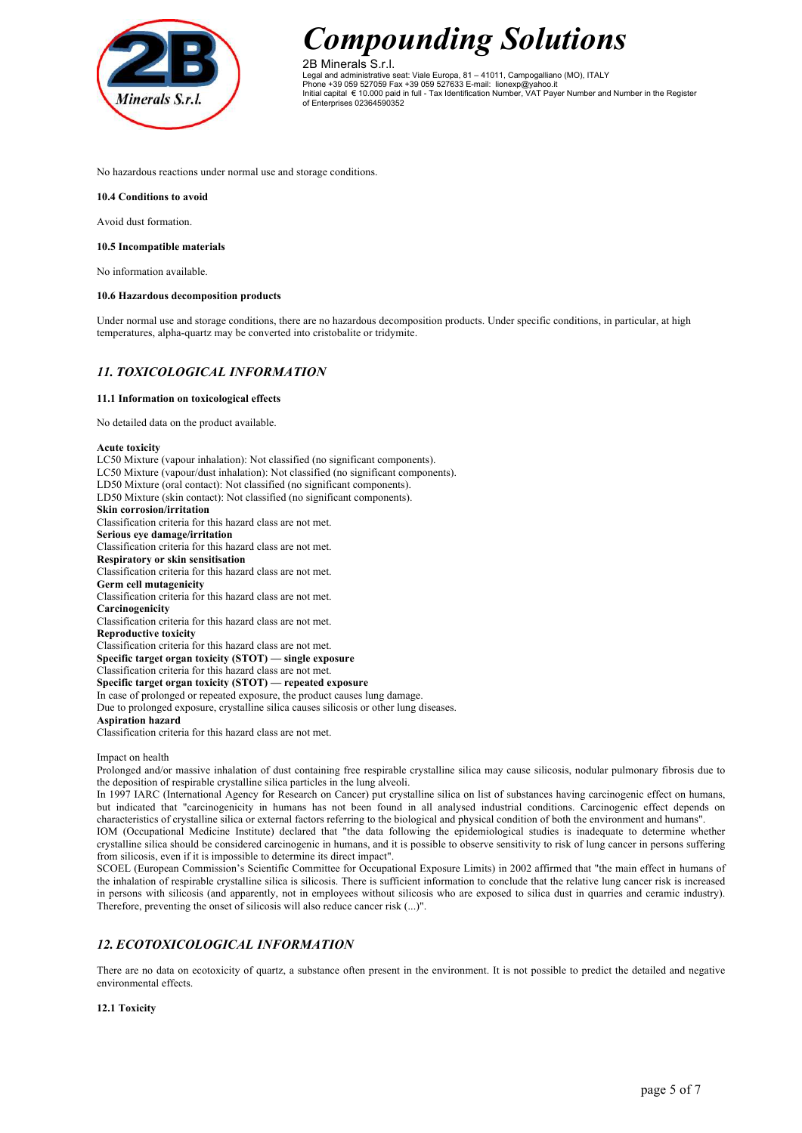

2B Minerals S.r.l. Legal and administrative seat: Viale Europa, 81 – 41011, Campogalliano (MO), ITALY Phone +39 059 527059 Fax +39 059 527633 E-mail: lionexp@yahoo.it Initial capital € 10.000 paid in full - Tax Identification Number, VAT Payer Number and Number in the Register of Enterprises 02364590352

No hazardous reactions under normal use and storage conditions.

**10.4 Conditions to avoid**

Avoid dust formation.

#### **10.5 Incompatible materials**

No information available.

#### **10.6 Hazardous decomposition products**

Under normal use and storage conditions, there are no hazardous decomposition products. Under specific conditions, in particular, at high temperatures, alpha-quartz may be converted into cristobalite or tridymite.

## *11. TOXICOLOGICAL INFORMATION*

## **11.1 Information on toxicological effects**

No detailed data on the product available.

#### **Acute toxicity**

LC50 Mixture (vapour inhalation): Not classified (no significant components). LC50 Mixture (vapour/dust inhalation): Not classified (no significant components). LD50 Mixture (oral contact): Not classified (no significant components). LD50 Mixture (skin contact): Not classified (no significant components). **Skin corrosion/irritation** Classification criteria for this hazard class are not met. **Serious eye damage/irritation** Classification criteria for this hazard class are not met. **Respiratory or skin sensitisation** Classification criteria for this hazard class are not met. **Germ cell mutagenicity** Classification criteria for this hazard class are not met. **Carcinogenicity** Classification criteria for this hazard class are not met. **Reproductive toxicity** Classification criteria for this hazard class are not met. **Specific target organ toxicity (STOT) — single exposure** Classification criteria for this hazard class are not met. **Specific target organ toxicity (STOT) — repeated exposure** In case of prolonged or repeated exposure, the product causes lung damage. Due to prolonged exposure, crystalline silica causes silicosis or other lung diseases. **Aspiration hazard** Classification criteria for this hazard class are not met.

Impact on health

Prolonged and/or massive inhalation of dust containing free respirable crystalline silica may cause silicosis, nodular pulmonary fibrosis due to the deposition of respirable crystalline silica particles in the lung alveoli.

In 1997 IARC (International Agency for Research on Cancer) put crystalline silica on list of substances having carcinogenic effect on humans, but indicated that "carcinogenicity in humans has not been found in all analysed industrial conditions. Carcinogenic effect depends on characteristics of crystalline silica or external factors referring to the biological and physical condition of both the environment and humans".

IOM (Occupational Medicine Institute) declared that "the data following the epidemiological studies is inadequate to determine whether crystalline silica should be considered carcinogenic in humans, and it is possible to observe sensitivity to risk of lung cancer in persons suffering from silicosis, even if it is impossible to determine its direct impact".

SCOEL (European Commission's Scientific Committee for Occupational Exposure Limits) in 2002 affirmed that "the main effect in humans of the inhalation of respirable crystalline silica is silicosis. There is sufficient information to conclude that the relative lung cancer risk is increased in persons with silicosis (and apparently, not in employees without silicosis who are exposed to silica dust in quarries and ceramic industry). Therefore, preventing the onset of silicosis will also reduce cancer risk (...)".

# *12. ECOTOXICOLOGICAL INFORMATION*

There are no data on ecotoxicity of quartz, a substance often present in the environment. It is not possible to predict the detailed and negative environmental effects.

## **12.1 Toxicity**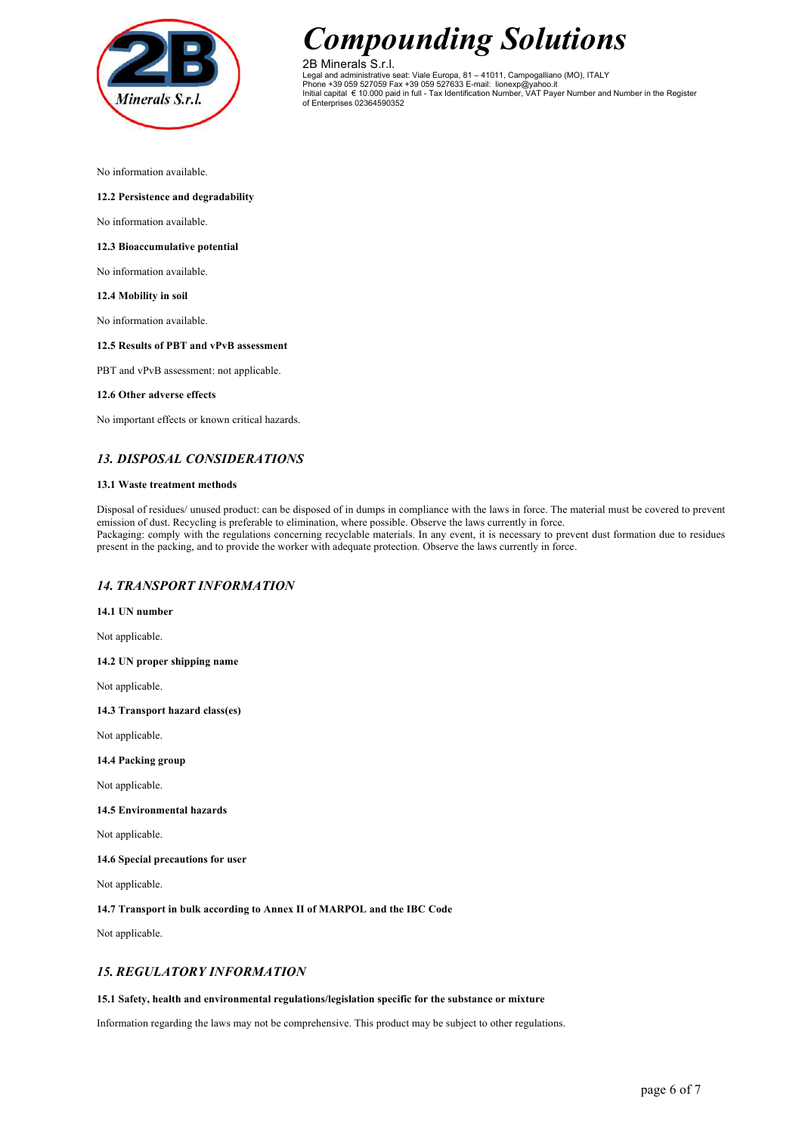

2B Minerals S.r.l. Legal and administrative seat: Viale Europa, 81 – 41011, Campogalliano (MO), ITALY Phone +39 059 527059 Fax +39 059 527633 E-mail: lionexp@yahoo.it Initial capital € 10.000 paid in full - Tax Identification Number, VAT Payer Number and Number in the Register of Enterprises 02364590352

No information available.

## **12.2 Persistence and degradability**

No information available.

#### **12.3 Bioaccumulative potential**

No information available.

#### **12.4 Mobility in soil**

No information available.

## **12.5 Results of PBT and vPvB assessment**

PBT and vPvB assessment: not applicable.

#### **12.6 Other adverse effects**

No important effects or known critical hazards.

## *13. DISPOSAL CONSIDERATIONS*

#### **13.1 Waste treatment methods**

Disposal of residues/ unused product: can be disposed of in dumps in compliance with the laws in force. The material must be covered to prevent emission of dust. Recycling is preferable to elimination, where possible. Observe the laws currently in force. Packaging: comply with the regulations concerning recyclable materials. In any event, it is necessary to prevent dust formation due to residues present in the packing, and to provide the worker with adequate protection. Observe the laws currently in force.

## *14. TRANSPORT INFORMATION*

**14.1 UN number**

Not applicable.

**14.2 UN proper shipping name**

Not applicable.

**14.3 Transport hazard class(es)**

Not applicable.

**14.4 Packing group**

Not applicable.

## **14.5 Environmental hazards**

Not applicable.

**14.6 Special precautions for user**

Not applicable.

**14.7 Transport in bulk according to Annex II of MARPOL and the IBC Code**

Not applicable.

## *15. REGULATORY INFORMATION*

#### **15.1 Safety, health and environmental regulations/legislation specific for the substance or mixture**

Information regarding the laws may not be comprehensive. This product may be subject to other regulations.